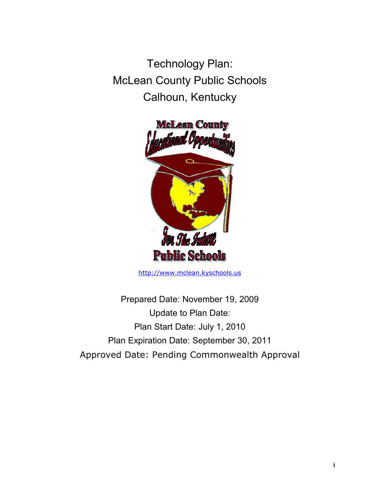Technology Plan: McLean County Public Schools Calhoun, Kentucky



http://www.mclean.kyschools.us

Prepared Date: November 19, 2009 Update to Plan Date: Plan Start Date: July 1, 2010 Plan Expiration Date: September 30, 2011 Approved Date: Pending Commonwealth Approval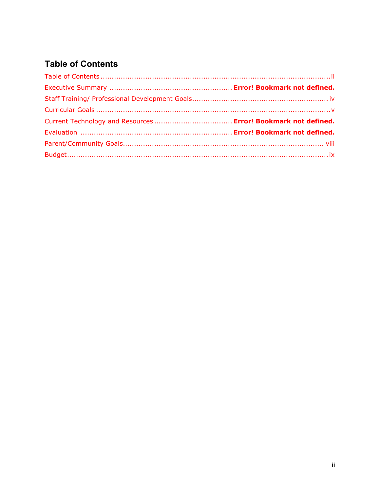# **Table of Contents**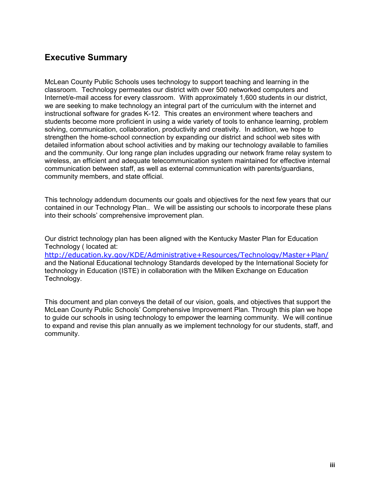# **Executive Summary**

McLean County Public Schools uses technology to support teaching and learning in the classroom. Technology permeates our district with over 500 networked computers and Internet/e-mail access for every classroom. With approximately 1,600 students in our district, we are seeking to make technology an integral part of the curriculum with the internet and instructional software for grades K-12. This creates an environment where teachers and students become more proficient in using a wide variety of tools to enhance learning, problem solving, communication, collaboration, productivity and creativity. In addition, we hope to strengthen the home-school connection by expanding our district and school web sites with detailed information about school activities and by making our technology available to families and the community. Our long range plan includes upgrading our network frame relay system to wireless, an efficient and adequate telecommunication system maintained for effective internal communication between staff, as well as external communication with parents/guardians, community members, and state official.

This technology addendum documents our goals and objectives for the next few years that our contained in our Technology Plan.. We will be assisting our schools to incorporate these plans into their schools' comprehensive improvement plan.

Our district technology plan has been aligned with the Kentucky Master Plan for Education Technology ( located at:

http://education.ky.gov/KDE/Administrative+Resources/Technology/Master+Plan/ and the National Educational technology Standards developed by the International Society for technology in Education (ISTE) in collaboration with the Milken Exchange on Education Technology.

This document and plan conveys the detail of our vision, goals, and objectives that support the McLean County Public Schools' Comprehensive Improvement Plan. Through this plan we hope to guide our schools in using technology to empower the learning community. We will continue to expand and revise this plan annually as we implement technology for our students, staff, and community.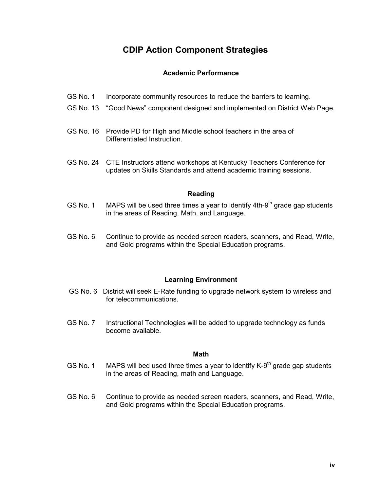# **CDIP Action Component Strategies**

### **Academic Performance**

- GS No. 1 Incorporate community resources to reduce the barriers to learning.
- GS No. 13 "Good News" component designed and implemented on District Web Page.
- GS No. 16 Provide PD for High and Middle school teachers in the area of Differentiated Instruction.
- GS No. 24 CTE Instructors attend workshops at Kentucky Teachers Conference for updates on Skills Standards and attend academic training sessions.

#### **Reading**

- GS No. 1 MAPS will be used three times a year to identify  $4th-9<sup>th</sup>$  grade gap students in the areas of Reading, Math, and Language.
- GS No. 6 Continue to provide as needed screen readers, scanners, and Read, Write, and Gold programs within the Special Education programs.

#### **Learning Environment**

- GS No. 6 District will seek E-Rate funding to upgrade network system to wireless and for telecommunications.
- GS No. 7 Instructional Technologies will be added to upgrade technology as funds become available.

#### **Math**

- GS No. 1 MAPS will bed used three times a year to identify  $K-9<sup>th</sup>$  grade gap students in the areas of Reading, math and Language.
- GS No. 6 Continue to provide as needed screen readers, scanners, and Read, Write, and Gold programs within the Special Education programs.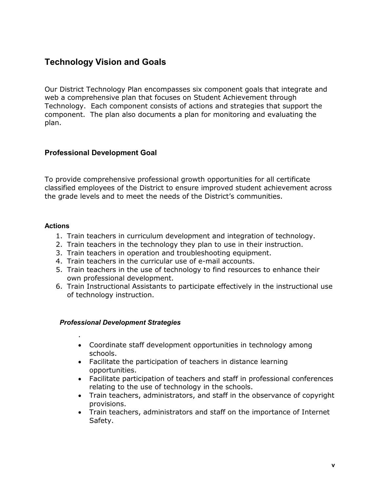# **Technology Vision and Goals**

Our District Technology Plan encompasses six component goals that integrate and web a comprehensive plan that focuses on Student Achievement through Technology. Each component consists of actions and strategies that support the component. The plan also documents a plan for monitoring and evaluating the plan.

# **Professional Development Goal**

To provide comprehensive professional growth opportunities for all certificate classified employees of the District to ensure improved student achievement across the grade levels and to meet the needs of the District's communities.

#### **Actions**

- 1. Train teachers in curriculum development and integration of technology.
- 2. Train teachers in the technology they plan to use in their instruction.
- 3. Train teachers in operation and troubleshooting equipment.
- 4. Train teachers in the curricular use of e-mail accounts.
- 5. Train teachers in the use of technology to find resources to enhance their own professional development.
- 6. Train Instructional Assistants to participate effectively in the instructional use of technology instruction.

# *Professional Development Strategies*

.

- Coordinate staff development opportunities in technology among schools.
- Facilitate the participation of teachers in distance learning opportunities.
- Facilitate participation of teachers and staff in professional conferences relating to the use of technology in the schools.
- Train teachers, administrators, and staff in the observance of copyright provisions.
- Train teachers, administrators and staff on the importance of Internet Safety.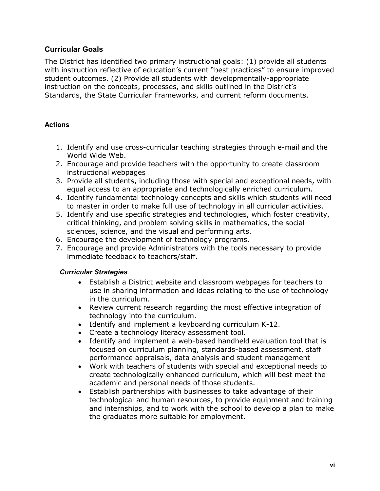# **Curricular Goals**

The District has identified two primary instructional goals: (1) provide all students with instruction reflective of education's current "best practices" to ensure improved student outcomes. (2) Provide all students with developmentally-appropriate instruction on the concepts, processes, and skills outlined in the District's Standards, the State Curricular Frameworks, and current reform documents.

# **Actions**

- 1. Identify and use cross-curricular teaching strategies through e-mail and the World Wide Web.
- 2. Encourage and provide teachers with the opportunity to create classroom instructional webpages
- 3. Provide all students, including those with special and exceptional needs, with equal access to an appropriate and technologically enriched curriculum.
- 4. Identify fundamental technology concepts and skills which students will need to master in order to make full use of technology in all curricular activities.
- 5. Identify and use specific strategies and technologies, which foster creativity, critical thinking, and problem solving skills in mathematics, the social sciences, science, and the visual and performing arts.
- 6. Encourage the development of technology programs.
- 7. Encourage and provide Administrators with the tools necessary to provide immediate feedback to teachers/staff.

# *Curricular Strategies*

- Establish a District website and classroom webpages for teachers to use in sharing information and ideas relating to the use of technology in the curriculum.
- Review current research regarding the most effective integration of technology into the curriculum.
- Identify and implement a keyboarding curriculum K-12.
- Create a technology literacy assessment tool.
- Identify and implement a web-based handheld evaluation tool that is focused on curriculum planning, standards-based assessment, staff performance appraisals, data analysis and student management
- Work with teachers of students with special and exceptional needs to create technologically enhanced curriculum, which will best meet the academic and personal needs of those students.
- Establish partnerships with businesses to take advantage of their technological and human resources, to provide equipment and training and internships, and to work with the school to develop a plan to make the graduates more suitable for employment.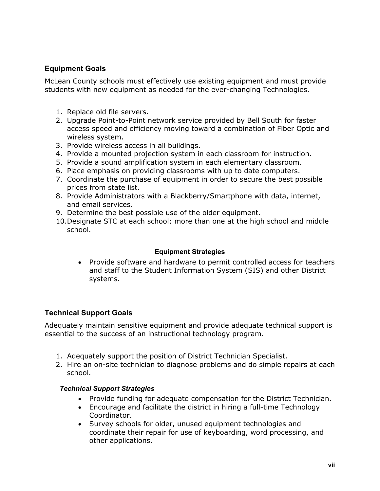# **Equipment Goals**

McLean County schools must effectively use existing equipment and must provide students with new equipment as needed for the ever-changing Technologies.

- 1. Replace old file servers.
- 2. Upgrade Point-to-Point network service provided by Bell South for faster access speed and efficiency moving toward a combination of Fiber Optic and wireless system.
- 3. Provide wireless access in all buildings.
- 4. Provide a mounted projection system in each classroom for instruction.
- 5. Provide a sound amplification system in each elementary classroom.
- 6. Place emphasis on providing classrooms with up to date computers.
- 7. Coordinate the purchase of equipment in order to secure the best possible prices from state list.
- 8. Provide Administrators with a Blackberry/Smartphone with data, internet, and email services.
- 9. Determine the best possible use of the older equipment.
- 10.Designate STC at each school; more than one at the high school and middle school.

#### **Equipment Strategies**

• Provide software and hardware to permit controlled access for teachers and staff to the Student Information System (SIS) and other District systems.

# **Technical Support Goals**

Adequately maintain sensitive equipment and provide adequate technical support is essential to the success of an instructional technology program.

- 1. Adequately support the position of District Technician Specialist.
- 2. Hire an on-site technician to diagnose problems and do simple repairs at each school.

#### *Technical Support Strategies*

- Provide funding for adequate compensation for the District Technician.
- Encourage and facilitate the district in hiring a full-time Technology Coordinator.
- Survey schools for older, unused equipment technologies and coordinate their repair for use of keyboarding, word processing, and other applications.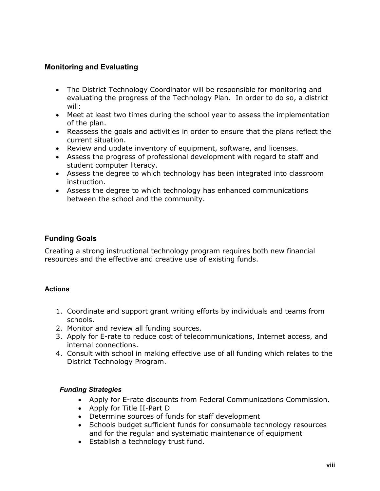# **Monitoring and Evaluating**

- The District Technology Coordinator will be responsible for monitoring and evaluating the progress of the Technology Plan. In order to do so, a district will:
- Meet at least two times during the school year to assess the implementation of the plan.
- Reassess the goals and activities in order to ensure that the plans reflect the current situation.
- Review and update inventory of equipment, software, and licenses.
- Assess the progress of professional development with regard to staff and student computer literacy.
- Assess the degree to which technology has been integrated into classroom instruction.
- Assess the degree to which technology has enhanced communications between the school and the community.

# **Funding Goals**

Creating a strong instructional technology program requires both new financial resources and the effective and creative use of existing funds.

# **Actions**

- 1. Coordinate and support grant writing efforts by individuals and teams from schools.
- 2. Monitor and review all funding sources.
- 3. Apply for E-rate to reduce cost of telecommunications, Internet access, and internal connections.
- 4. Consult with school in making effective use of all funding which relates to the District Technology Program.

# *Funding Strategies*

- Apply for E-rate discounts from Federal Communications Commission.
- Apply for Title II-Part D
- Determine sources of funds for staff development
- Schools budget sufficient funds for consumable technology resources and for the regular and systematic maintenance of equipment
- Establish a technology trust fund.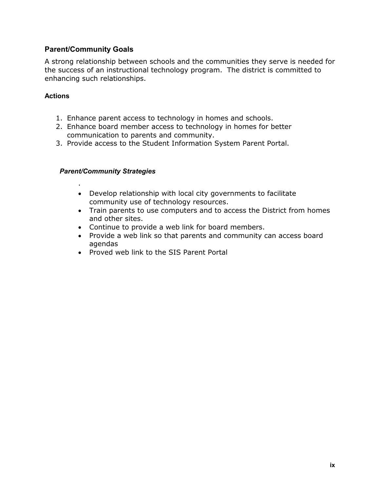# **Parent/Community Goals**

A strong relationship between schools and the communities they serve is needed for the success of an instructional technology program. The district is committed to enhancing such relationships.

# **Actions**

- 1. Enhance parent access to technology in homes and schools.
- 2. Enhance board member access to technology in homes for better communication to parents and community.
- 3. Provide access to the Student Information System Parent Portal.

# *Parent/Community Strategies*

.

- Develop relationship with local city governments to facilitate community use of technology resources.
- Train parents to use computers and to access the District from homes and other sites.
- Continue to provide a web link for board members.
- Provide a web link so that parents and community can access board agendas
- Proved web link to the SIS Parent Portal